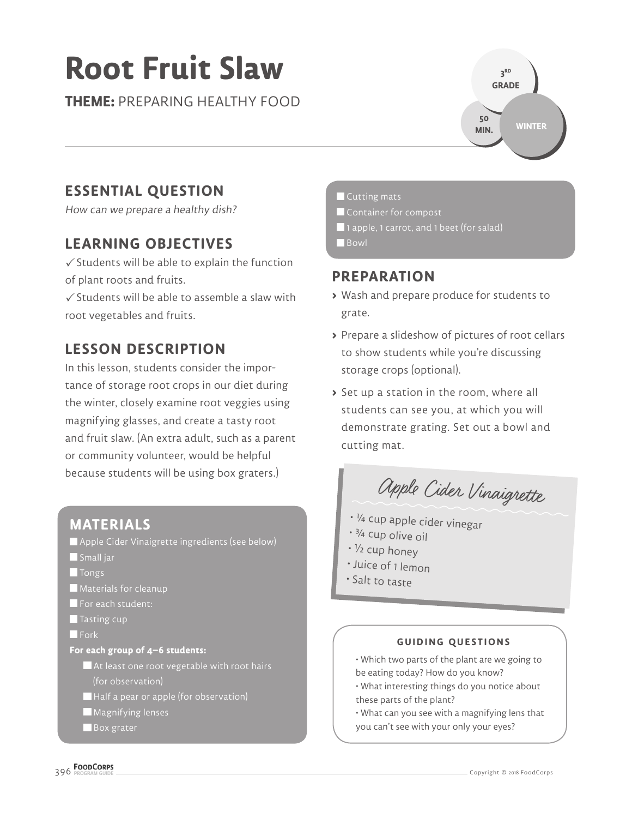# **Root Fruit Slaw**

**THEME:** PREPARING HEALTHY FOOD



# **ESSENTIAL QUESTION**

How can we prepare a healthy dish?

# **LEARNING OBJECTIVES**

 $\checkmark$  Students will be able to explain the function of plant roots and fruits.

 $\checkmark$  Students will be able to assemble a slaw with root vegetables and fruits.

# **LESSON DESCRIPTION**

In this lesson, students consider the importance of storage root crops in our diet during the winter, closely examine root veggies using magnifying glasses, and create a tasty root and fruit slaw. (An extra adult, such as a parent or community volunteer, would be helpful because students will be using box graters.)

## **MATERIALS** Apple Cider Vinaigrette ingredients (see below) Small jar **T** Tongs **Materials for cleanup** For each student:  $\blacksquare$  Tasting cup **Fork For each group of 4–6 students:**

 $\blacksquare$  At least one root vegetable with root hairs (for observation)

Half a pear or apple (for observation)

**Magnifying lenses** 

**Box** grater

#### **Cutting mats**

- Container for compost
- 1 apple, 1 carrot, and 1 beet (for salad)

**Bowl** 

## **PREPARATION**

- **>** Wash and prepare produce for students to grate.
- **>** Prepare a slideshow of pictures of root cellars to show students while you're discussing storage crops (optional).
- **>** Set up a station in the room, where all students can see you, at which you will demonstrate grating. Set out a bowl and cutting mat.

Apple Cider Vinaigrette

- <sup>¼</sup> cup apple cider vinegar
- ¾ cup olive oil
- ½ cup honey
- Juice of 1 lemon
- Salt to taste

#### **GUIDING QUESTIONS**

- Which two parts of the plant are we going to be eating today? How do you know?
- What interesting things do you notice about these parts of the plant?
- What can you see with a magnifying lens that you can't see with your only your eyes?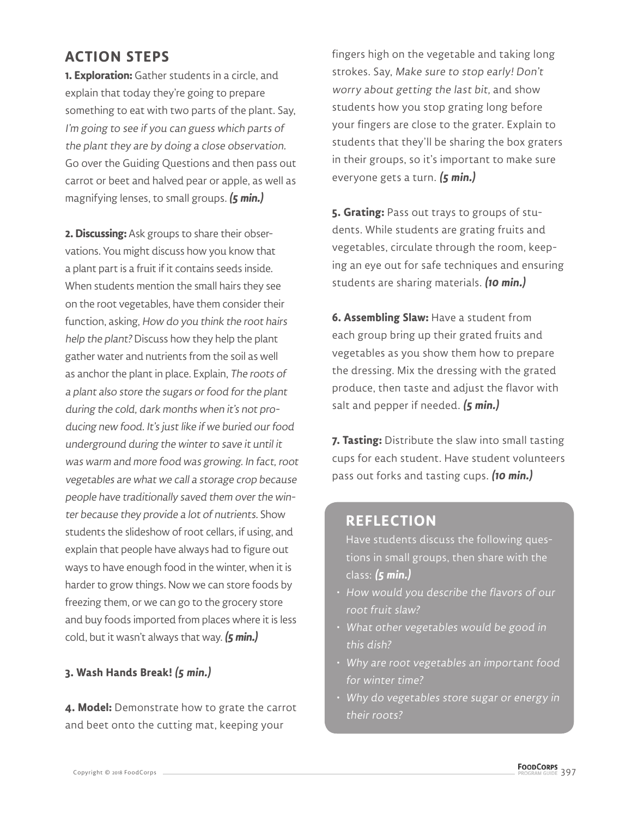## **ACTION STEPS**

**1. Exploration:** Gather students in a circle, and explain that today they're going to prepare something to eat with two parts of the plant. Say, I'm going to see if you can guess which parts of the plant they are by doing a close observation. Go over the Guiding Questions and then pass out carrot or beet and halved pear or apple, as well as magnifying lenses, to small groups. **(5 min.)**

**2. Discussing:** Ask groups to share their observations. You might discuss how you know that a plant part is a fruit if it contains seeds inside. When students mention the small hairs they see on the root vegetables, have them consider their function, asking, How do you think the root hairs help the plant? Discuss how they help the plant gather water and nutrients from the soil as well as anchor the plant in place. Explain, The roots of a plant also store the sugars or food for the plant during the cold, dark months when it's not producing new food. It's just like if we buried our food underground during the winter to save it until it was warm and more food was growing. In fact, root vegetables are what we call a storage crop because people have traditionally saved them over the winter because they provide a lot of nutrients. Show students the slideshow of root cellars, if using, and explain that people have always had to figure out ways to have enough food in the winter, when it is harder to grow things. Now we can store foods by freezing them, or we can go to the grocery store and buy foods imported from places where it is less cold, but it wasn't always that way. **(5 min.)**

## **3. Wash Hands Break! (5 min.)**

**4. Model:** Demonstrate how to grate the carrot and beet onto the cutting mat, keeping your

fingers high on the vegetable and taking long strokes. Say, Make sure to stop early! Don't worry about getting the last bit, and show students how you stop grating long before your fingers are close to the grater. Explain to students that they'll be sharing the box graters in their groups, so it's important to make sure everyone gets a turn. **(5 min.)**

**5. Grating:** Pass out trays to groups of students. While students are grating fruits and vegetables, circulate through the room, keeping an eye out for safe techniques and ensuring students are sharing materials. **(10 min.)**

**6. Assembling Slaw:** Have a student from each group bring up their grated fruits and vegetables as you show them how to prepare the dressing. Mix the dressing with the grated produce, then taste and adjust the flavor with salt and pepper if needed. **(5 min.)**

**7. Tasting:** Distribute the slaw into small tasting cups for each student. Have student volunteers pass out forks and tasting cups. **(10 min.)**

## **REFLECTION**

Have students discuss the following questions in small groups, then share with the class: **(5 min.)**

- How would you describe the flavors of our root fruit slaw?
- What other vegetables would be good in this dish?
- Why are root vegetables an important food for winter time?
- Why do vegetables store sugar or energy in their roots?